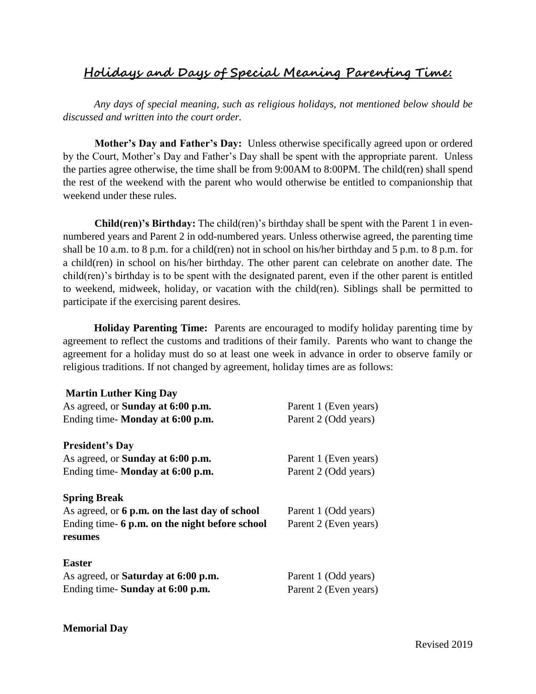## **Holidays and Days of Special Meaning Parenting Time:**

*Any days of special meaning, such as religious holidays, not mentioned below should be discussed and written into the court order.* 

**Mother's Day and Father's Day:** Unless otherwise specifically agreed upon or ordered by the Court, Mother's Day and Father's Day shall be spent with the appropriate parent. Unless the parties agree otherwise, the time shall be from 9:00AM to 8:00PM. The child(ren) shall spend the rest of the weekend with the parent who would otherwise be entitled to companionship that weekend under these rules.

**Child(ren)'s Birthday:** The child(ren)'s birthday shall be spent with the Parent 1 in evennumbered years and Parent 2 in odd-numbered years. Unless otherwise agreed, the parenting time shall be 10 a.m. to 8 p.m. for a child(ren) not in school on his/her birthday and 5 p.m. to 8 p.m. for a child(ren) in school on his/her birthday. The other parent can celebrate on another date. The child(ren)'s birthday is to be spent with the designated parent, even if the other parent is entitled to weekend, midweek, holiday, or vacation with the child(ren). Siblings shall be permitted to participate if the exercising parent desires.

**Holiday Parenting Time:** Parents are encouraged to modify holiday parenting time by agreement to reflect the customs and traditions of their family. Parents who want to change the agreement for a holiday must do so at least one week in advance in order to observe family or religious traditions. If not changed by agreement, holiday times are as follows:

| <b>Martin Luther King Day</b>                  |                       |
|------------------------------------------------|-----------------------|
| As agreed, or <b>Sunday at 6:00 p.m.</b>       | Parent 1 (Even years) |
| Ending time-Monday at 6:00 p.m.                | Parent 2 (Odd years)  |
| <b>President's Day</b>                         |                       |
| As agreed, or <b>Sunday at 6:00 p.m.</b>       | Parent 1 (Even years) |
| Ending time-Monday at 6:00 p.m.                | Parent 2 (Odd years)  |
| <b>Spring Break</b>                            |                       |
| As agreed, or 6 p.m. on the last day of school | Parent 1 (Odd years)  |
| Ending time- 6 p.m. on the night before school | Parent 2 (Even years) |
| resumes                                        |                       |
| <b>Easter</b>                                  |                       |
| As agreed, or <b>Saturday at 6:00 p.m.</b>     | Parent 1 (Odd years)  |
| Ending time- Sunday at 6:00 p.m.               | Parent 2 (Even years) |

## **Memorial Day**